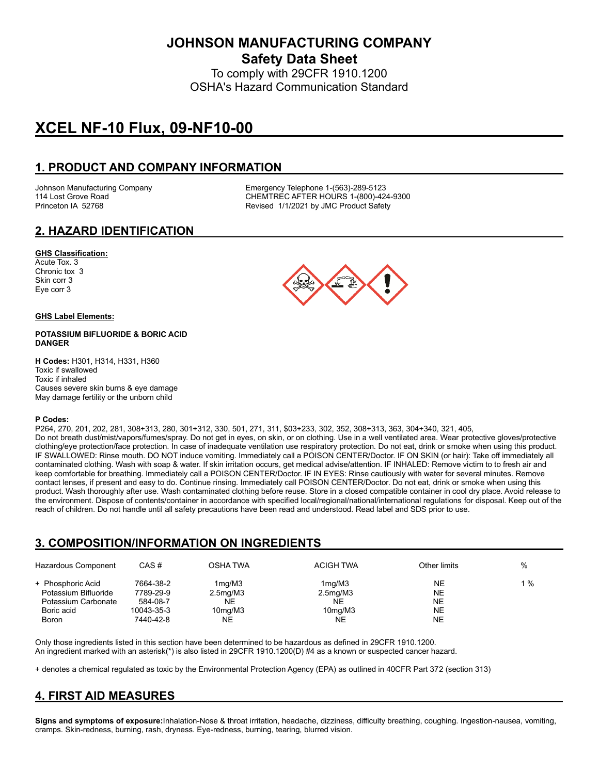**JOHNSON MANUFACTURING COMPANY**

**Safety Data Sheet** To comply with 29CFR 1910.1200

OSHA's Hazard Communication Standard

# **XCEL NF-10 Flux, 09-NF10-00**

### **1. PRODUCT AND COMPANY INFORMATION**

Johnson Manufacturing Company Emergency Telephone 1-(563)-289-5123 114 Lost Grove Road CHEMTREC AFTER HOURS 1-(800)-424-9300 Princeton IA 52768 **Revised 1/1/2021 by JMC Product Safety** 

#### **2. HAZARD IDENTIFICATION**

#### **GHS Classification:**

Acute Tox. 3 Chronic tox 3 Skin corr 3 Eye corr 3

#### **GHS Label Elements:**

#### **POTASSIUM BIFLUORIDE & BORIC ACID DANGER**

**H Codes:** H301, H314, H331, H360 Toxic if swallowed Toxic if inhaled Causes severe skin burns & eye damage May damage fertility or the unborn child

#### **P Codes:**

P264, 270, 201, 202, 281, 308+313, 280, 301+312, 330, 501, 271, 311, \$03+233, 302, 352, 308+313, 363, 304+340, 321, 405, Do not breath dust/mist/vapors/fumes/spray. Do not get in eyes, on skin, or on clothing. Use in a well ventilated area. Wear protective gloves/protective clothing/eye protection/face protection. In case of inadequate ventilation use respiratory protection. Do not eat, drink or smoke when using this product. IF SWALLOWED: Rinse mouth. DO NOT induce vomiting. Immediately call a POISON CENTER/Doctor. IF ON SKIN (or hair): Take off immediately all contaminated clothing. Wash with soap & water. If skin irritation occurs, get medical advise/attention. IF INHALED: Remove victim to to fresh air and keep comfortable for breathing. Immediately call a POISON CENTER/Doctor. IF IN EYES: Rinse cautiously with water for several minutes. Remove contact lenses, if present and easy to do. Continue rinsing. Immediately call POISON CENTER/Doctor. Do not eat, drink or smoke when using this product. Wash thoroughly after use. Wash contaminated clothing before reuse. Store in a closed compatible container in cool dry place. Avoid release to the environment. Dispose of contents/container in accordance with specified local/regional/national/international regulations for disposal. Keep out of the reach of children. Do not handle until all safety precautions have been read and understood. Read label and SDS prior to use.

#### **3. COMPOSITION/INFORMATION ON INGREDIENTS**

| Hazardous Component  | CAS#       | OSHA TWA                         | <b>ACIGH TWA</b>      | Other limits | $\%$  |
|----------------------|------------|----------------------------------|-----------------------|--------------|-------|
| + Phosphoric Acid    | 7664-38-2  | 1 <sub>mq</sub> /M3              | 1ma/M3                | NE           | $1\%$ |
| Potassium Bifluoride | 7789-29-9  | 2.5 <sub>mq</sub> /M3            | 2.5 <sub>mq</sub> /M3 | <b>NE</b>    |       |
| Potassium Carbonate  | 584-08-7   | NE                               | <b>NE</b>             | <b>NE</b>    |       |
| Boric acid           | 10043-35-3 | 10 <sub>mq</sub> /M <sub>3</sub> | 10 <sub>mq</sub> /M3  | <b>NE</b>    |       |
| <b>Boron</b>         | 7440-42-8  | <b>NE</b>                        | NE                    | NE           |       |

Only those ingredients listed in this section have been determined to be hazardous as defined in 29CFR 1910.1200. An ingredient marked with an asterisk(\*) is also listed in 29CFR 1910.1200(D) #4 as a known or suspected cancer hazard.

+ denotes a chemical regulated as toxic by the Environmental Protection Agency (EPA) as outlined in 40CFR Part 372 (section 313)

# **4. FIRST AID MEASURES**

**Signs and symptoms of exposure:**Inhalation-Nose & throat irritation, headache, dizziness, difficulty breathing, coughing. Ingestion-nausea, vomiting, cramps. Skin-redness, burning, rash, dryness. Eye-redness, burning, tearing, blurred vision.

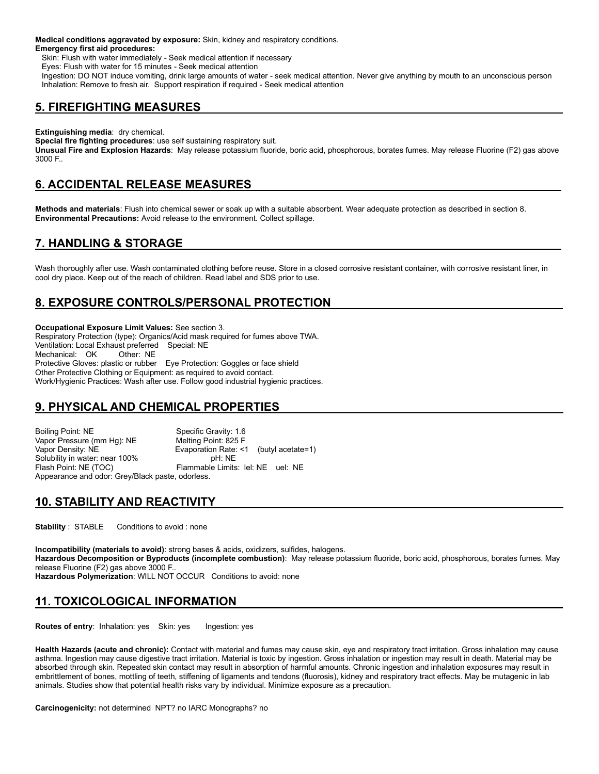**Medical conditions aggravated by exposure:** Skin, kidney and respiratory conditions. **Emergency first aid procedures:**

Skin: Flush with water immediately - Seek medical attention if necessary

Eyes: Flush with water for 15 minutes - Seek medical attention

 Ingestion: DO NOT induce vomiting, drink large amounts of water - seek medical attention. Never give anything by mouth to an unconscious person Inhalation: Remove to fresh air. Support respiration if required - Seek medical attention

#### **5. FIREFIGHTING MEASURES**

**Extinguishing media**: dry chemical.

**Special fire fighting procedures**: use self sustaining respiratory suit.

**Unusual Fire and Explosion Hazards**: May release potassium fluoride, boric acid, phosphorous, borates fumes. May release Fluorine (F2) gas above 3000 F..

# **6. ACCIDENTAL RELEASE MEASURES**

**Methods and materials**: Flush into chemical sewer or soak up with a suitable absorbent. Wear adequate protection as described in section 8. **Environmental Precautions:** Avoid release to the environment. Collect spillage.

# **7. HANDLING & STORAGE**

Wash thoroughly after use. Wash contaminated clothing before reuse. Store in a closed corrosive resistant container, with corrosive resistant liner, in cool dry place. Keep out of the reach of children. Read label and SDS prior to use.

# **8. EXPOSURE CONTROLS/PERSONAL PROTECTION**

**Occupational Exposure Limit Values:** See section 3. Respiratory Protection (type): Organics/Acid mask required for fumes above TWA. Ventilation: Local Exhaust preferred Special: NE Mechanical: OK Protective Gloves: plastic or rubber Eye Protection: Goggles or face shield Other Protective Clothing or Equipment: as required to avoid contact. Work/Hygienic Practices: Wash after use. Follow good industrial hygienic practices.

# **9. PHYSICAL AND CHEMICAL PROPERTIES**

Boiling Point: NE Specific Gravity: 1.6 Vapor Pressure (mm Hg): NE Melting Point: 825 F<br>Vapor Density: NE Melting Point Evaporation Rate: < Evaporation Rate: <1 (butyl acetate=1) Solubility in water: near 100% pH: NE Flash Point: NE (TOC) Flammable Limits: lel: NE uel: NE Appearance and odor: Grey/Black paste, odorless.

# **10. STABILITY AND REACTIVITY**

**Stability** : STABLE Conditions to avoid : none

**Incompatibility (materials to avoid)**: strong bases & acids, oxidizers, sulfides, halogens. **Hazardous Decomposition or Byproducts (incomplete combustion)**: May release potassium fluoride, boric acid, phosphorous, borates fumes. May release Fluorine (F2) gas above 3000 F.. **Hazardous Polymerization**: WILL NOT OCCUR Conditions to avoid: none

# **11. TOXICOLOGICAL INFORMATION**

**Routes of entry: Inhalation: yes Skin: yes Ingestion: yes** 

**Health Hazards (acute and chronic):** Contact with material and fumes may cause skin, eye and respiratory tract irritation. Gross inhalation may cause asthma. Ingestion may cause digestive tract irritation. Material is toxic by ingestion. Gross inhalation or ingestion may result in death. Material may be absorbed through skin. Repeated skin contact may result in absorption of harmful amounts. Chronic ingestion and inhalation exposures may result in embrittlement of bones, mottling of teeth, stiffening of ligaments and tendons (fluorosis), kidney and respiratory tract effects. May be mutagenic in lab animals. Studies show that potential health risks vary by individual. Minimize exposure as a precaution.

**Carcinogenicity:** not determined NPT? no IARC Monographs? no